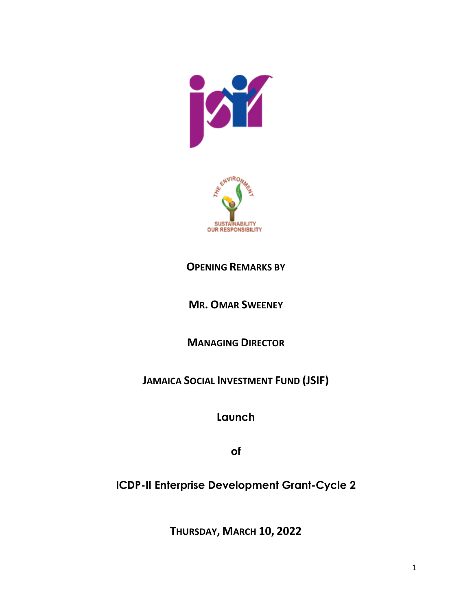



## **OPENING REMARKS BY**

**MR. OMAR SWEENEY**

**MANAGING DIRECTOR**

**JAMAICA SOCIAL INVESTMENT FUND (JSIF)**

**Launch**

**of**

 **ICDP-II Enterprise Development Grant-Cycle 2**

**THURSDAY, MARCH 10, 2022**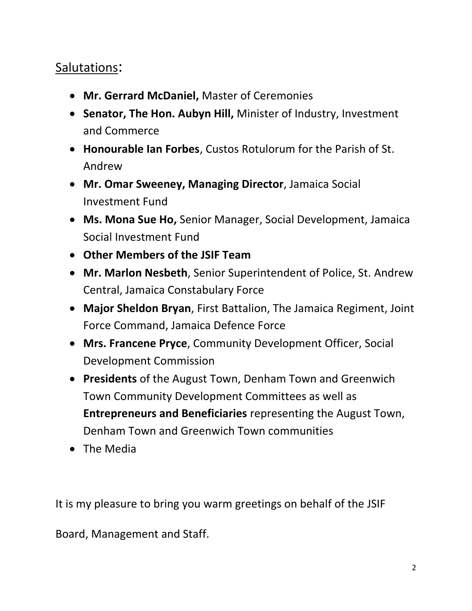## Salutations:

- **Mr. Gerrard McDaniel,** Master of Ceremonies
- **Senator, The Hon. Aubyn Hill,** Minister of Industry, Investment and Commerce
- **Honourable Ian Forbes**, Custos Rotulorum for the Parish of St. Andrew
- **Mr. Omar Sweeney, Managing Director**, Jamaica Social Investment Fund
- **Ms. Mona Sue Ho,** Senior Manager, Social Development, Jamaica Social Investment Fund
- **Other Members of the JSIF Team**
- **Mr. Marlon Nesbeth**, Senior Superintendent of Police, St. Andrew Central, Jamaica Constabulary Force
- **Major Sheldon Bryan**, First Battalion, The Jamaica Regiment, Joint Force Command, Jamaica Defence Force
- **Mrs. Francene Pryce**, Community Development Officer, Social Development Commission
- **Presidents** of the August Town, Denham Town and Greenwich Town Community Development Committees as well as **Entrepreneurs and Beneficiaries** representing the August Town, Denham Town and Greenwich Town communities
- The Media

It is my pleasure to bring you warm greetings on behalf of the JSIF

Board, Management and Staff.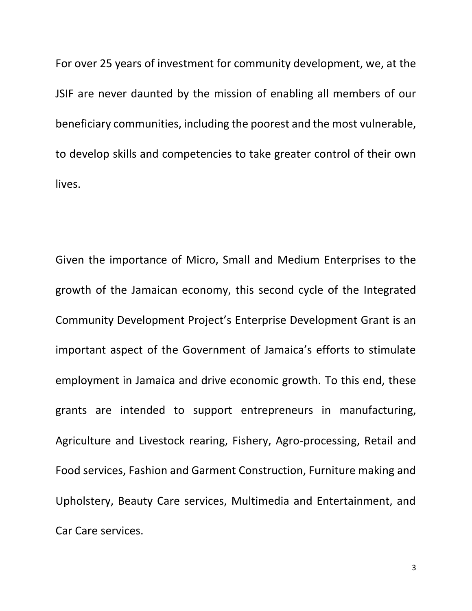For over 25 years of investment for community development, we, at the JSIF are never daunted by the mission of enabling all members of our beneficiary communities, including the poorest and the most vulnerable, to develop skills and competencies to take greater control of their own lives.

Given the importance of Micro, Small and Medium Enterprises to the growth of the Jamaican economy, this second cycle of the Integrated Community Development Project's Enterprise Development Grant is an important aspect of the Government of Jamaica's efforts to stimulate employment in Jamaica and drive economic growth. To this end, these grants are intended to support entrepreneurs in manufacturing, Agriculture and Livestock rearing, Fishery, Agro-processing, Retail and Food services, Fashion and Garment Construction, Furniture making and Upholstery, Beauty Care services, Multimedia and Entertainment, and Car Care services.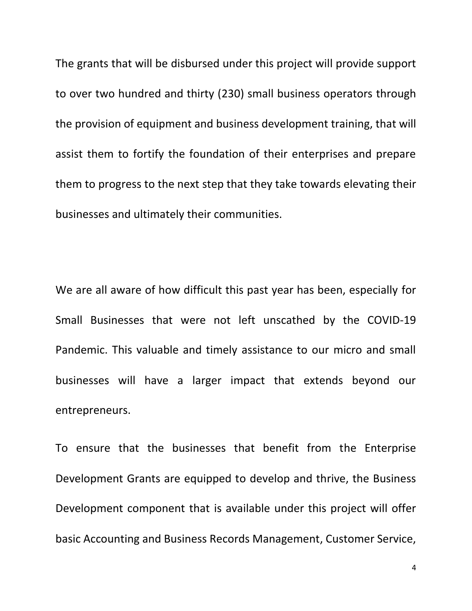The grants that will be disbursed under this project will provide support to over two hundred and thirty (230) small business operators through the provision of equipment and business development training, that will assist them to fortify the foundation of their enterprises and prepare them to progress to the next step that they take towards elevating their businesses and ultimately their communities.

We are all aware of how difficult this past year has been, especially for Small Businesses that were not left unscathed by the COVID-19 Pandemic. This valuable and timely assistance to our micro and small businesses will have a larger impact that extends beyond our entrepreneurs.

To ensure that the businesses that benefit from the Enterprise Development Grants are equipped to develop and thrive, the Business Development component that is available under this project will offer basic Accounting and Business Records Management, Customer Service,

4